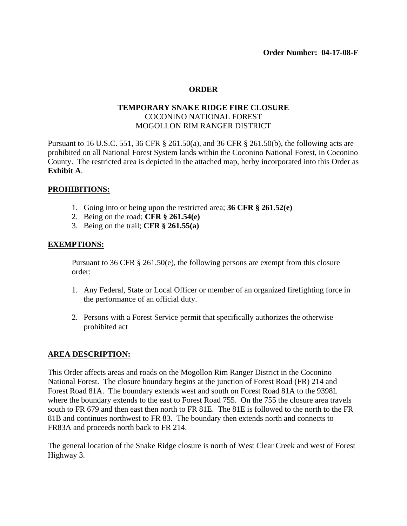# **ORDER**

# **TEMPORARY SNAKE RIDGE FIRE CLOSURE** COCONINO NATIONAL FOREST MOGOLLON RIM RANGER DISTRICT

Pursuant to 16 U.S.C. 551, 36 CFR § 261.50(a), and 36 CFR § 261.50(b), the following acts are prohibited on all National Forest System lands within the Coconino National Forest, in Coconino County. The restricted area is depicted in the attached map, herby incorporated into this Order as **Exhibit A**.

## **PROHIBITIONS:**

- 1. Going into or being upon the restricted area; **36 CFR § 261.52(e)**
- 2. Being on the road; **CFR § 261.54(e)**
- 3. Being on the trail; **CFR § 261.55(a)**

#### **EXEMPTIONS:**

Pursuant to 36 CFR § 261.50(e), the following persons are exempt from this closure order:

- 1. Any Federal, State or Local Officer or member of an organized firefighting force in the performance of an official duty.
- 2. Persons with a Forest Service permit that specifically authorizes the otherwise prohibited act

## **AREA DESCRIPTION:**

This Order affects areas and roads on the Mogollon Rim Ranger District in the Coconino National Forest. The closure boundary begins at the junction of Forest Road (FR) 214 and Forest Road 81A. The boundary extends west and south on Forest Road 81A to the 9398L where the boundary extends to the east to Forest Road 755. On the 755 the closure area travels south to FR 679 and then east then north to FR 81E. The 81E is followed to the north to the FR 81B and continues northwest to FR 83. The boundary then extends north and connects to FR83A and proceeds north back to FR 214.

The general location of the Snake Ridge closure is north of West Clear Creek and west of Forest Highway 3.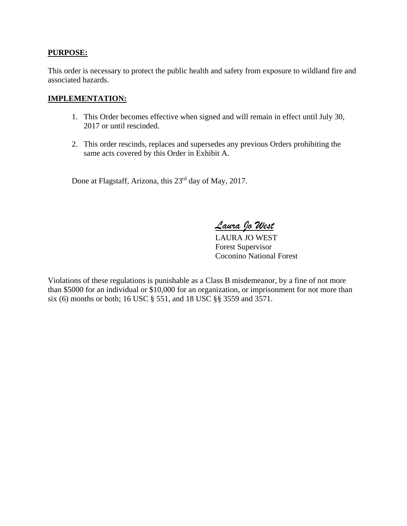## **PURPOSE:**

This order is necessary to protect the public health and safety from exposure to wildland fire and associated hazards.

## **IMPLEMENTATION:**

- 1. This Order becomes effective when signed and will remain in effect until July 30, 2017 or until rescinded.
- 2. This order rescinds, replaces and supersedes any previous Orders prohibiting the same acts covered by this Order in Exhibit A.

Done at Flagstaff, Arizona, this 23rd day of May, 2017.

*Laura Jo West*

LAURA JO WEST Forest Supervisor Coconino National Forest

Violations of these regulations is punishable as a Class B misdemeanor, by a fine of not more than \$5000 for an individual or \$10,000 for an organization, or imprisonment for not more than six (6) months or both; 16 USC § 551, and 18 USC §§ 3559 and 3571.